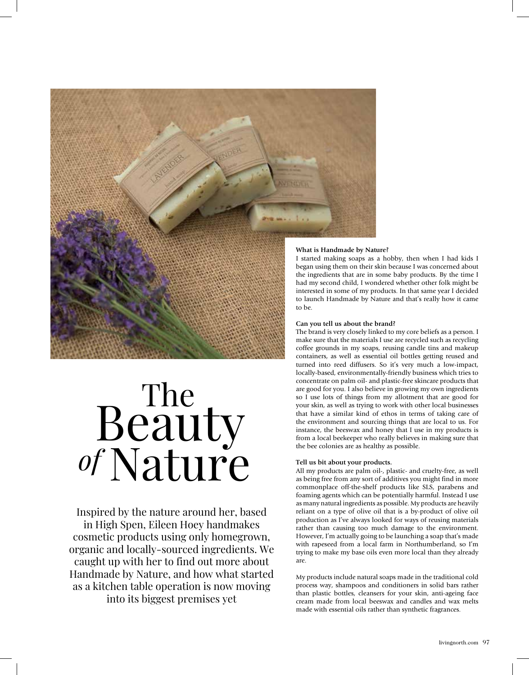

# Beauty Nature The *of*

Inspired by the nature around her, based in High Spen, Eileen Hoey handmakes cosmetic products using only homegrown, organic and locally-sourced ingredients. We caught up with her to find out more about Handmade by Nature, and how what started as a kitchen table operation is now moving into its biggest premises yet

## **What is Handmade by Nature?**

I started making soaps as a hobby, then when I had kids I began using them on their skin because I was concerned about the ingredients that are in some baby products. By the time I had my second child, I wondered whether other folk might be interested in some of my products. In that same year I decided to launch Handmade by Nature and that's really how it came

### **Can you tell us about the brand?**

The brand is very closely linked to my core beliefs as a person. I make sure that the materials I use are recycled such as recycling coffee grounds in my soaps, reusing candle tins and makeup containers, as well as essential oil bottles getting reused and turned into reed diffusers. So it's very much a low-impact, locally-based, environmentally-friendly business which tries to concentrate on palm oil- and plastic-free skincare products that are good for you. I also believe in growing my own ingredients so I use lots of things from my allotment that are good for your skin, as well as trying to work with other local businesses that have a similar kind of ethos in terms of taking care of the environment and sourcing things that are local to us. For instance, the beeswax and honey that I use in my products is from a local beekeeper who really believes in making sure that the bee colonies are as healthy as possible.

#### **Tell us bit about your products.**

All my products are palm oil-, plastic- and cruelty-free, as well as being free from any sort of additives you might find in more commonplace off-the-shelf products like SLS, parabens and foaming agents which can be potentially harmful. Instead I use as many natural ingredients as possible. My products are heavily reliant on a type of olive oil that is a by-product of olive oil production as I've always looked for ways of reusing materials rather than causing too much damage to the environment. However, I'm actually going to be launching a soap that's made with rapeseed from a local farm in Northumberland, so I'm trying to make my base oils even more local than they already are.

My products include natural soaps made in the traditional cold process way, shampoos and conditioners in solid bars rather than plastic bottles, cleansers for your skin, anti-ageing face cream made from local beeswax and candles and wax melts made with essential oils rather than synthetic fragrances.